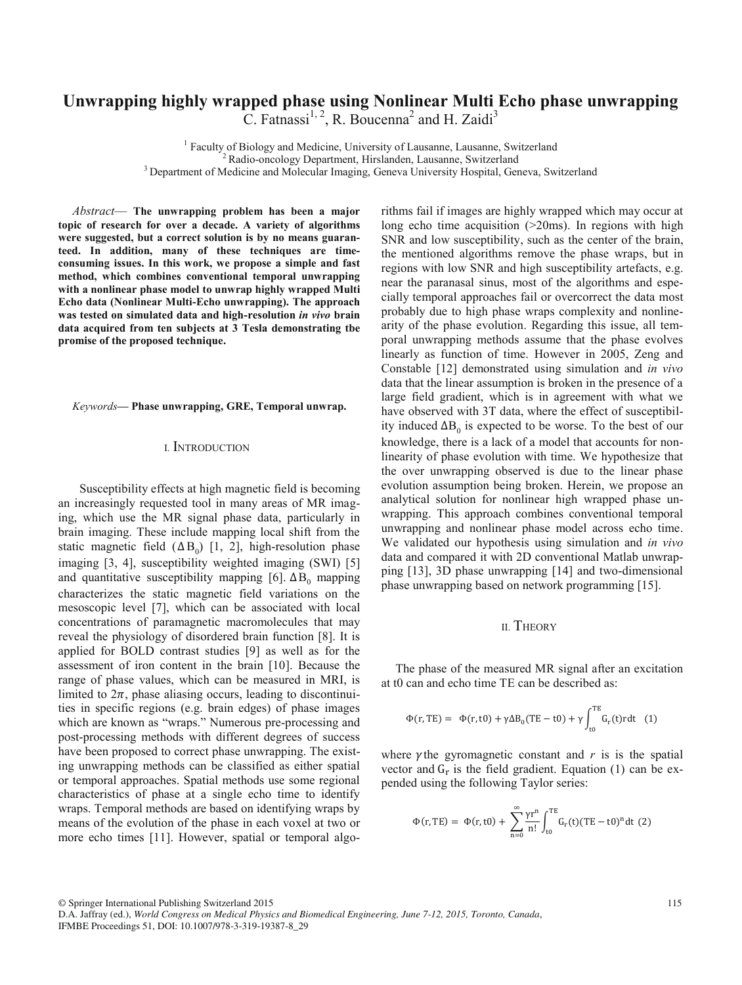# **Unwrapping highly wrapped phase using Nonlinear Multi Echo phase unwrapping**

C. Fatnassi<sup>1, 2</sup>, R. Boucenna<sup>2</sup> and H. Zaidi<sup>3</sup>

<sup>1</sup> Faculty of Biology and Medicine, University of Lausanne, Lausanne, Switzerland <sup>2</sup> Radio-oncology Department, Hirslanden, Lausanne, Switzerland<br><sup>3</sup> Department of Medicine and Molecular Imaging, Geneva University Hospital, Geneva, Switzerland

*Abstract*— **The unwrapping problem has been a major topic of research for over a decade. A variety of algorithms were suggested, but a correct solution is by no means guaranteed. In addition, many of these techniques are timeconsuming issues. In this work, we propose a simple and fast method, which combines conventional temporal unwrapping with a nonlinear phase model to unwrap highly wrapped Multi Echo data (Nonlinear Multi-Echo unwrapping). The approach was tested on simulated data and high-resolution** *in vivo* **brain data acquired from ten subjects at 3 Tesla demonstrating tbe promise of the proposed technique.**

*Keywords***— Phase unwrapping, GRE, Temporal unwrap.** 

### I. INTRODUCTION

Susceptibility effects at high magnetic field is becoming an increasingly requested tool in many areas of MR imaging, which use the MR signal phase data, particularly in brain imaging. These include mapping local shift from the static magnetic field  $( \Delta B_0)$  [1, 2], high-resolution phase imaging [3, 4], susceptibility weighted imaging (SWI) [5] and quantitative susceptibility mapping [6].  $\Delta B_0$  mapping characterizes the static magnetic field variations on the mesoscopic level [7], which can be associated with local concentrations of paramagnetic macromolecules that may reveal the physiology of disordered brain function [8]. It is applied for BOLD contrast studies [9] as well as for the assessment of iron content in the brain [10]. Because the range of phase values, which can be measured in MRI, is limited to  $2\pi$ , phase aliasing occurs, leading to discontinuities in specific regions (e.g. brain edges) of phase images which are known as "wraps." Numerous pre-processing and post-processing methods with different degrees of success have been proposed to correct phase unwrapping. The existing unwrapping methods can be classified as either spatial or temporal approaches. Spatial methods use some regional characteristics of phase at a single echo time to identify wraps. Temporal methods are based on identifying wraps by means of the evolution of the phase in each voxel at two or more echo times [11]. However, spatial or temporal algorithms fail if images are highly wrapped which may occur at long echo time acquisition ( $>20$ ms). In regions with high SNR and low susceptibility, such as the center of the brain, the mentioned algorithms remove the phase wraps, but in regions with low SNR and high susceptibility artefacts, e.g. near the paranasal sinus, most of the algorithms and especially temporal approaches fail or overcorrect the data most probably due to high phase wraps complexity and nonlinearity of the phase evolution. Regarding this issue, all temporal unwrapping methods assume that the phase evolves linearly as function of time. However in 2005, Zeng and Constable [12] demonstrated using simulation and *in vivo* data that the linear assumption is broken in the presence of a large field gradient, which is in agreement with what we have observed with 3T data, where the effect of susceptibility induced  $\Delta B_0$  is expected to be worse. To the best of our knowledge, there is a lack of a model that accounts for nonlinearity of phase evolution with time. We hypothesize that the over unwrapping observed is due to the linear phase evolution assumption being broken. Herein, we propose an analytical solution for nonlinear high wrapped phase unwrapping. This approach combines conventional temporal unwrapping and nonlinear phase model across echo time. We validated our hypothesis using simulation and *in vivo* data and compared it with 2D conventional Matlab unwrapping [13], 3D phase unwrapping [14] and two-dimensional phase unwrapping based on network programming [15].

#### II. THEORY

The phase of the measured MR signal after an excitation at t0 can and echo time TE can be described as:

$$
\Phi(r, TE) = \Phi(r, t0) + \gamma \Delta B_0 (TE - t0) + \gamma \int_{t0}^{TE} G_r(t) r dt \quad (1)
$$

where  $\gamma$  the gyromagnetic constant and  $r$  is is the spatial vector and  $G_r$  is the field gradient. Equation (1) can be expended using the following Taylor series:

$$
\Phi(r, TE) = \ \Phi(r, t0) + \ \sum_{n=0}^{\infty} \frac{\gamma r^n}{n!} \int_{t0}^{TE} G_r(t) (TE - t0)^n dt \ (2)
$$

© Springer International Publishing Switzerland 2015

D.A. Jaffray (ed.), *World Congress on Medical Physics and Biomedical Engineering, June 7-12, 2015, Toronto, Canada*, IFMBE Proceedings 51, DOI: 10.1007/978-3-319-19387-8\_29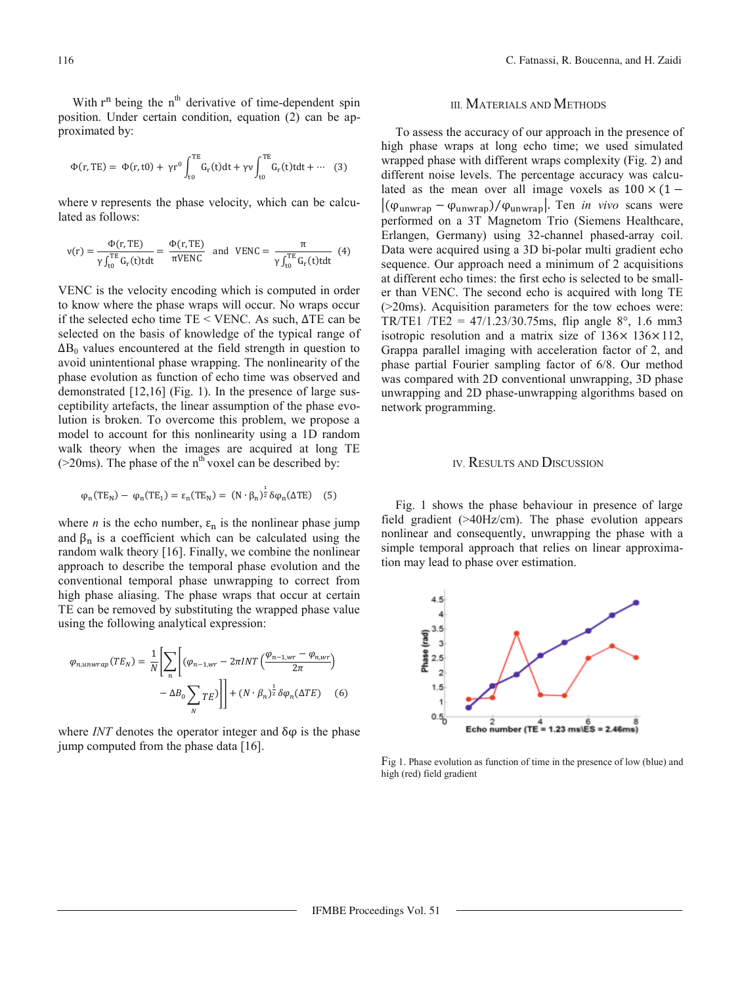With  $r^n$  being the  $n^{th}$  derivative of time-dependent spin position. Under certain condition, equation (2) can be approximated by:

$$
\Phi(r, TE) = \Phi(r, t0) + \gamma r^0 \int_{t0}^{TE} G_r(t) dt + \gamma v \int_{t0}^{TE} G_r(t) t dt + \cdots
$$
 (3)

where  $\nu$  represents the phase velocity, which can be calculated as follows:

$$
v(r) = \frac{\Phi(r, TE)}{\gamma \int_{t0}^{TE} G_r(t) t dt} = \frac{\Phi(r, TE)}{\pi V E N C} \text{ and } V E N C = \frac{\pi}{\gamma \int_{t0}^{TE} G_r(t) t dt} \tag{4}
$$

VENC is the velocity encoding which is computed in order to know where the phase wraps will occur. No wraps occur if the selected echo time TE < VENC. As such,  $\Delta$ TE can be selected on the basis of knowledge of the typical range of  $\Delta B_0$  values encountered at the field strength in question to avoid unintentional phase wrapping. The nonlinearity of the phase evolution as function of echo time was observed and demonstrated [12,16] (Fig. 1). In the presence of large susceptibility artefacts, the linear assumption of the phase evolution is broken. To overcome this problem, we propose a model to account for this nonlinearity using a 1D random walk theory when the images are acquired at long TE ( $>$ 20ms). The phase of the n<sup>th</sup> voxel can be described by:

$$
\varphi_n(TE_N) - \varphi_n(TE_1) = \varepsilon_n(TE_N) = (N \cdot \beta_n)^{\frac{1}{2}} \delta \varphi_n(\Delta TE) \quad (5)
$$

where *n* is the echo number,  $\varepsilon_n$  is the nonlinear phase jump and  $\beta_n$  is a coefficient which can be calculated using the random walk theory [16]. Finally, we combine the nonlinear approach to describe the temporal phase evolution and the conventional temporal phase unwrapping to correct from high phase aliasing. The phase wraps that occur at certain TE can be removed by substituting the wrapped phase value using the following analytical expression:

$$
\varphi_{n,unwrap}(TE_N) = \frac{1}{N} \left[ \sum_n \left[ (\varphi_{n-1,wr} - 2\pi INT \left( \frac{\varphi_{n-1,wr} - \varphi_{n,wr}}{2\pi} \right) - \Delta B_0 \sum_N TE \right] \right] + (N \cdot \beta_n)^{\frac{1}{2}} \delta \varphi_n(\Delta TE) \tag{6}
$$

where *INT* denotes the operator integer and  $\delta\varphi$  is the phase jump computed from the phase data [16].

#### III. MATERIALS AND METHODS

To assess the accuracy of our approach in the presence of high phase wraps at long echo time; we used simulated wrapped phase with different wraps complexity (Fig. 2) and different noise levels. The percentage accuracy was calculated as the mean over all image voxels as  $100 \times (1 |(\varphi_{\text{unwrap}} - \varphi_{\text{unwrap}})/\varphi_{\text{unwrap}}|$ . Ten *in vivo* scans were performed on a 3T Magnetom Trio (Siemens Healthcare, Erlangen, Germany) using 32-channel phased-array coil. Data were acquired using a 3D bi-polar multi gradient echo sequence. Our approach need a minimum of 2 acquisitions at different echo times: the first echo is selected to be smaller than VENC. The second echo is acquired with long TE (>20ms). Acquisition parameters for the tow echoes were: TR/TE1 /TE2 =  $47/1.23/30.75$ ms, flip angle 8°, 1.6 mm3 isotropic resolution and a matrix size of  $136 \times 136 \times 112$ , Grappa parallel imaging with acceleration factor of 2, and phase partial Fourier sampling factor of 6/8. Our method was compared with 2D conventional unwrapping, 3D phase unwrapping and 2D phase-unwrapping algorithms based on network programming.

### IV. RESULTS AND DISCUSSION

Fig. 1 shows the phase behaviour in presence of large field gradient (>40Hz/cm). The phase evolution appears nonlinear and consequently, unwrapping the phase with a simple temporal approach that relies on linear approximation may lead to phase over estimation.



Fig 1. Phase evolution as function of time in the presence of low (blue) and high (red) field gradient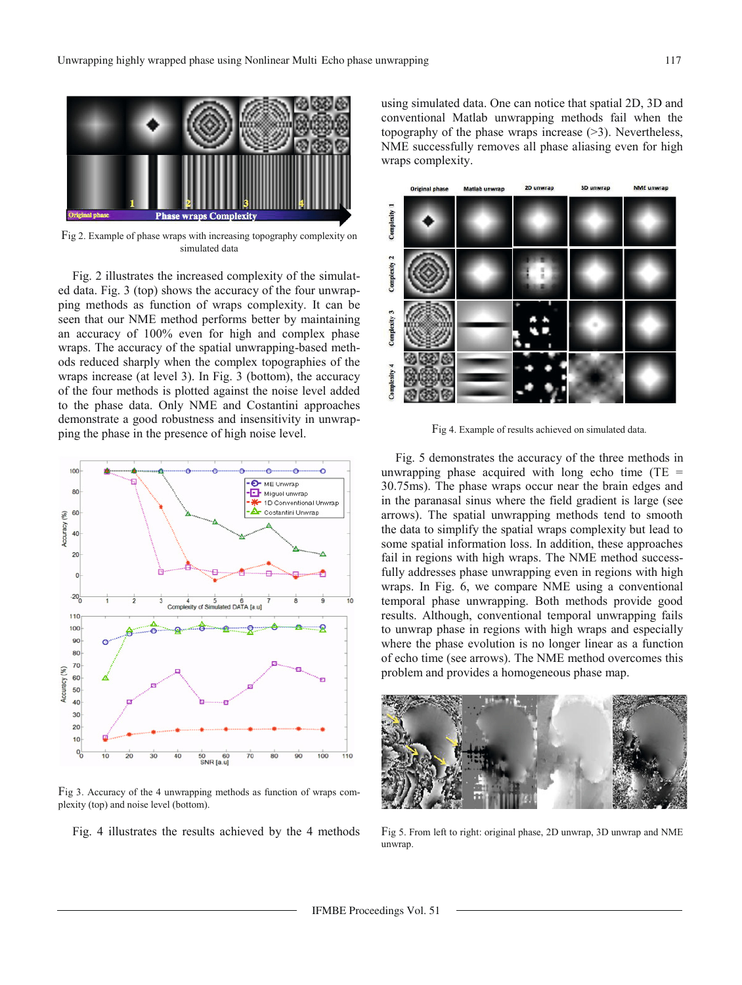

Fig 2. Example of phase wraps with increasing topography complexity on simulated data

Fig. 2 illustrates the increased complexity of the simulated data. Fig. 3 (top) shows the accuracy of the four unwrapping methods as function of wraps complexity. It can be seen that our NME method performs better by maintaining an accuracy of 100% even for high and complex phase wraps. The accuracy of the spatial unwrapping-based methods reduced sharply when the complex topographies of the wraps increase (at level 3). In Fig. 3 (bottom), the accuracy of the four methods is plotted against the noise level added to the phase data. Only NME and Costantini approaches demonstrate a good robustness and insensitivity in unwrapping the phase in the presence of high noise level.



Fig 3. Accuracy of the 4 unwrapping methods as function of wraps complexity (top) and noise level (bottom).

Fig. 4 illustrates the results achieved by the 4 methods

using simulated data. One can notice that spatial 2D, 3D and conventional Matlab unwrapping methods fail when the topography of the phase wraps increase (>3). Nevertheless, NME successfully removes all phase aliasing even for high wraps complexity.



Fig 4. Example of results achieved on simulated data.

Fig. 5 demonstrates the accuracy of the three methods in unwrapping phase acquired with long echo time ( $TE =$ 30.75ms). The phase wraps occur near the brain edges and in the paranasal sinus where the field gradient is large (see arrows). The spatial unwrapping methods tend to smooth the data to simplify the spatial wraps complexity but lead to some spatial information loss. In addition, these approaches fail in regions with high wraps. The NME method successfully addresses phase unwrapping even in regions with high wraps. In Fig. 6, we compare NME using a conventional temporal phase unwrapping. Both methods provide good results. Although, conventional temporal unwrapping fails to unwrap phase in regions with high wraps and especially where the phase evolution is no longer linear as a function of echo time (see arrows). The NME method overcomes this problem and provides a homogeneous phase map.



Fig 5. From left to right: original phase, 2D unwrap, 3D unwrap and NME unwrap.